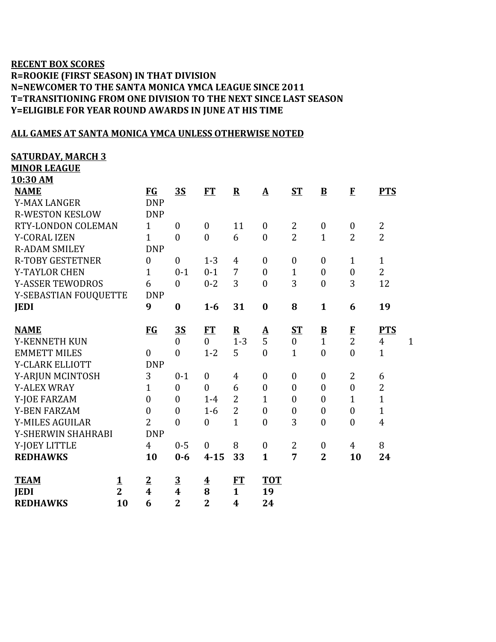## **RECENT BOX SCORES R=ROOKIE (FIRST SEASON) IN THAT DIVISION N=NEWCOMER TO THE SANTA MONICA YMCA LEAGUE SINCE 2011 T=TRANSITIONING FROM ONE DIVISION TO THE NEXT SINCE LAST SEASON Y=ELIGIBLE FOR YEAR ROUND AWARDS IN JUNE AT HIS TIME**

## **ALL GAMES AT SANTA MONICA YMCA UNLESS OTHERWISE NOTED**

**SATURDAY, MARCH 3**

**MINOR LEAGUE**

| <u>10:30 AM</u>         |                |                         |                  |                         |                  |                  |                  |                          |                  |                |              |
|-------------------------|----------------|-------------------------|------------------|-------------------------|------------------|------------------|------------------|--------------------------|------------------|----------------|--------------|
| <b>NAME</b>             |                | $FG$                    | $\overline{35}$  | <b>FT</b>               | ${\bf R}$        | $\mathbf A$      | $ST$             | $\overline{\mathbf{B}}$  | E                | <b>PTS</b>     |              |
| <b>Y-MAX LANGER</b>     |                | <b>DNP</b>              |                  |                         |                  |                  |                  |                          |                  |                |              |
| <b>R-WESTON KESLOW</b>  |                | <b>DNP</b>              |                  |                         |                  |                  |                  |                          |                  |                |              |
| RTY-LONDON COLEMAN      |                | $\mathbf{1}$            | $\boldsymbol{0}$ | $\boldsymbol{0}$        | 11               | $\boldsymbol{0}$ | $\overline{2}$   | $\boldsymbol{0}$         | $\boldsymbol{0}$ | $\mathbf{2}$   |              |
| <b>Y-CORAL IZEN</b>     |                | $\mathbf{1}$            | $\boldsymbol{0}$ | $\boldsymbol{0}$        | 6                | $\boldsymbol{0}$ | $\overline{2}$   | $\mathbf{1}$             | $\overline{2}$   | $\overline{2}$ |              |
| <b>R-ADAM SMILEY</b>    |                | <b>DNP</b>              |                  |                         |                  |                  |                  |                          |                  |                |              |
| <b>R-TOBY GESTETNER</b> |                | $\overline{0}$          | $\mathbf{0}$     | $1 - 3$                 | $\overline{4}$   | $\boldsymbol{0}$ | $\boldsymbol{0}$ | $\overline{0}$           | 1                | $\mathbf{1}$   |              |
| <b>Y-TAYLOR CHEN</b>    |                | $\mathbf{1}$            | $0 - 1$          | $0 - 1$                 | 7                | $\mathbf{0}$     | $\mathbf{1}$     | $\boldsymbol{0}$         | $\boldsymbol{0}$ | $\overline{2}$ |              |
| <b>Y-ASSER TEWODROS</b> |                | 6                       | $\boldsymbol{0}$ | $0 - 2$                 | 3                | $\boldsymbol{0}$ | 3                | $\boldsymbol{0}$         | 3                | 12             |              |
| Y-SEBASTIAN FOUQUETTE   |                | <b>DNP</b>              |                  |                         |                  |                  |                  |                          |                  |                |              |
| <b>JEDI</b>             |                | 9                       | $\bf{0}$         | $1 - 6$                 | 31               | $\bf{0}$         | 8                | $\mathbf{1}$             | 6                | 19             |              |
|                         |                |                         |                  |                         |                  |                  |                  |                          |                  |                |              |
| <b>NAME</b>             |                | $FG$                    | <u>35</u>        | FT                      | ${\bf R}$        | ${\bf A}$        | $S_{\rm T}$      | $\underline{\mathbf{B}}$ | $\bf{F}$         | <b>PTS</b>     |              |
| Y-KENNETH KUN           |                |                         | $\boldsymbol{0}$ | $\overline{0}$          | $1 - 3$          | 5                | $\boldsymbol{0}$ | $\mathbf{1}$             | $\overline{2}$   | $\overline{4}$ | $\mathbf{1}$ |
| <b>EMMETT MILES</b>     |                | $\overline{0}$          | $\boldsymbol{0}$ | $1 - 2$                 | 5                | $\boldsymbol{0}$ | $\mathbf{1}$     | $\boldsymbol{0}$         | $\boldsymbol{0}$ | $\mathbf{1}$   |              |
| Y-CLARK ELLIOTT         |                | <b>DNP</b>              |                  |                         |                  |                  |                  |                          |                  |                |              |
| Y-ARJUN MCINTOSH        |                | 3                       | $0 - 1$          | $\boldsymbol{0}$        | $\overline{4}$   | $\boldsymbol{0}$ | $\boldsymbol{0}$ | $\boldsymbol{0}$         | $\overline{2}$   | 6              |              |
| <b>Y-ALEX WRAY</b>      |                | $\mathbf{1}$            | $\boldsymbol{0}$ | $\boldsymbol{0}$        | 6                | $\boldsymbol{0}$ | $\boldsymbol{0}$ | $\boldsymbol{0}$         | $\boldsymbol{0}$ | $\mathbf{2}$   |              |
| Y-JOE FARZAM            |                | $\overline{0}$          | $\overline{0}$   | $1 - 4$                 | $\overline{2}$   | $\mathbf{1}$     | $\boldsymbol{0}$ | $\overline{0}$           | 1                | $\mathbf{1}$   |              |
| <b>Y-BEN FARZAM</b>     |                | $\overline{0}$          | $\boldsymbol{0}$ | $1-6$                   | $\overline{2}$   | $\boldsymbol{0}$ | $\boldsymbol{0}$ | $\boldsymbol{0}$         | $\boldsymbol{0}$ | $\mathbf{1}$   |              |
| Y-MILES AGUILAR         |                | $\overline{2}$          | $\overline{0}$   | $\boldsymbol{0}$        | $\mathbf{1}$     | $\boldsymbol{0}$ | 3                | $\boldsymbol{0}$         | $\boldsymbol{0}$ | $\overline{4}$ |              |
| Y-SHERWIN SHAHRABI      |                | <b>DNP</b>              |                  |                         |                  |                  |                  |                          |                  |                |              |
| Y-JOEY LITTLE           |                | $\overline{4}$          | $0 - 5$          | $\mathbf{0}$            | 8                | $\boldsymbol{0}$ | $\overline{2}$   | $\boldsymbol{0}$         | 4                | 8              |              |
| <b>REDHAWKS</b>         |                | 10                      | $0 - 6$          | $4 - 15$                | 33               | $\mathbf{1}$     | $\overline{7}$   | $\overline{2}$           | 10               | 24             |              |
|                         |                |                         |                  |                         |                  |                  |                  |                          |                  |                |              |
| <b>TEAM</b>             | <u>1</u>       | $\overline{2}$          | $\overline{3}$   | $\overline{\mathbf{4}}$ | <b>FT</b>        | <b>TOT</b>       |                  |                          |                  |                |              |
| <b>JEDI</b>             | $\overline{2}$ | $\overline{\mathbf{4}}$ | $\boldsymbol{4}$ | 8                       | $\mathbf{1}$     | 19               |                  |                          |                  |                |              |
| <b>REDHAWKS</b>         | 10             | 6                       | $\overline{2}$   | $\overline{2}$          | $\boldsymbol{4}$ | 24               |                  |                          |                  |                |              |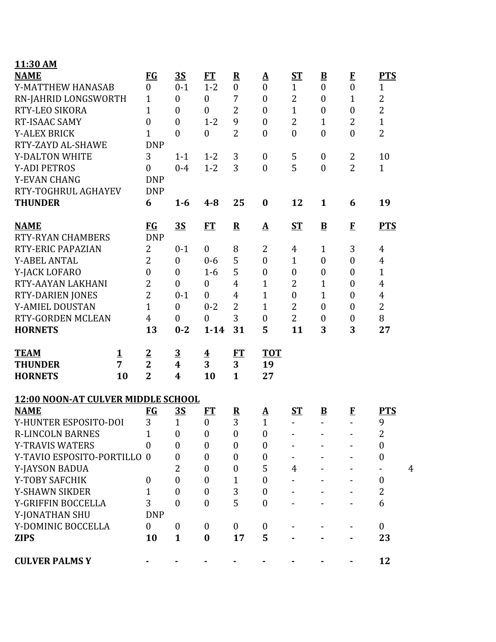| 11:30 AM                           |          |                  |                  |                         |                  |                  |                  |                          |                  |                  |
|------------------------------------|----------|------------------|------------------|-------------------------|------------------|------------------|------------------|--------------------------|------------------|------------------|
| <b>NAME</b>                        |          | <b>FG</b>        | 3S               | FT                      | ${\bf R}$        | $\Delta$         | ST               | $\underline{\mathbf{B}}$ | $\bf{F}$         | <b>PTS</b>       |
| Y-MATTHEW HANASAB                  |          | $\boldsymbol{0}$ | $0 - 1$          | $1 - 2$                 | $\mathbf{0}$     | $\mathbf{0}$     | $\mathbf{1}$     | $\overline{0}$           | $\overline{0}$   | $\mathbf{1}$     |
| RN-JAHRID LONGSWORTH               |          | 1                | $\boldsymbol{0}$ | $\boldsymbol{0}$        | 7                | $\boldsymbol{0}$ | $\overline{2}$   | $\overline{0}$           | $\mathbf{1}$     | $\overline{2}$   |
| RTY-LEO SIKORA                     |          | $\mathbf{1}$     | $\boldsymbol{0}$ | $\boldsymbol{0}$        | $\overline{2}$   | $\boldsymbol{0}$ | $\mathbf{1}$     | $\boldsymbol{0}$         | $\boldsymbol{0}$ | $\overline{2}$   |
| RT-ISAAC SAMY                      |          | $\overline{0}$   | $\mathbf{0}$     | $1 - 2$                 | 9                | $\mathbf{0}$     | $\overline{2}$   | $\mathbf{1}$             | $\overline{2}$   | $\mathbf{1}$     |
| <b>Y-ALEX BRICK</b>                |          | 1                | $\theta$         | $\boldsymbol{0}$        | $\overline{2}$   | $\mathbf{0}$     | $\boldsymbol{0}$ | $\overline{0}$           | $\overline{0}$   | $\overline{2}$   |
| RTY-ZAYD AL-SHAWE                  |          | <b>DNP</b>       |                  |                         |                  |                  |                  |                          |                  |                  |
| <b>Y-DALTON WHITE</b>              |          | 3                | $1 - 1$          | $1 - 2$                 | 3                | $\boldsymbol{0}$ | 5                | $\boldsymbol{0}$         | $\overline{2}$   | 10               |
| <b>Y-ADI PETROS</b>                |          | $\boldsymbol{0}$ | $0 - 4$          | $1 - 2$                 | 3                | $\overline{0}$   | 5                | $\mathbf{0}$             | $\overline{2}$   | $\mathbf{1}$     |
| <b>Y-EVAN CHANG</b>                |          | <b>DNP</b>       |                  |                         |                  |                  |                  |                          |                  |                  |
| RTY-TOGHRUL AGHAYEV                |          | <b>DNP</b>       |                  |                         |                  |                  |                  |                          |                  |                  |
| <b>THUNDER</b>                     |          | 6                | $1-6$            | $4 - 8$                 | 25               | $\bf{0}$         | 12               | $\mathbf{1}$             | 6                | 19               |
| <b>NAME</b>                        |          | <b>FG</b>        | 3S               | FT                      | ${\bf R}$        | $\Delta$         | $S_{\rm T}$      | $\mathbf{B}$             | $\mathbf{F}$     | <b>PTS</b>       |
| <b>RTY-RYAN CHAMBERS</b>           |          | <b>DNP</b>       |                  |                         |                  |                  |                  |                          |                  |                  |
| RTY-ERIC PAPAZIAN                  |          | 2                | $0 - 1$          | $\boldsymbol{0}$        | 8                | 2                | 4                | $\mathbf{1}$             | 3                | 4                |
| <b>Y-ABEL ANTAL</b>                |          | $\overline{2}$   | $\mathbf{0}$     | $0 - 6$                 | 5                | $\mathbf{0}$     | $\mathbf{1}$     | $\overline{0}$           | $\overline{0}$   | $\overline{4}$   |
| Y-JACK LOFARO                      |          | $\overline{0}$   | $\mathbf{0}$     | $1 - 6$                 | 5                | $\boldsymbol{0}$ | $\boldsymbol{0}$ | $\boldsymbol{0}$         | $\boldsymbol{0}$ | $\mathbf{1}$     |
| RTY-AAYAN LAKHANI                  |          | 2                | $\boldsymbol{0}$ | $\boldsymbol{0}$        | $\overline{4}$   | $\mathbf{1}$     | $\overline{2}$   | $\mathbf{1}$             | $\boldsymbol{0}$ | $\overline{4}$   |
| <b>RTY-DARIEN JONES</b>            |          | $\overline{2}$   | $0 - 1$          | $\boldsymbol{0}$        | 4                | $\mathbf{1}$     | $\boldsymbol{0}$ | $\mathbf{1}$             | $\boldsymbol{0}$ | $\overline{4}$   |
| Y-AMIEL DOUSTAN                    |          | $\mathbf{1}$     | $\mathbf{0}$     | $0 - 2$                 | $\overline{2}$   | $\mathbf{1}$     | $\overline{2}$   | $\overline{0}$           | $\boldsymbol{0}$ | $\overline{2}$   |
| RTY-GORDEN MCLEAN                  |          | $\overline{4}$   | $\mathbf{0}$     | $\boldsymbol{0}$        | 3                | $\boldsymbol{0}$ | $\overline{2}$   | $\boldsymbol{0}$         | $\boldsymbol{0}$ | 8                |
| <b>HORNETS</b>                     |          | 13               | $0 - 2$          | $1 - 14$                | 31               | 5                | 11               | 3                        | 3                | 27               |
| <b>TEAM</b>                        | <u>1</u> | $\overline{2}$   | $\overline{3}$   | $\overline{\mathbf{4}}$ | FT               | <b>TOT</b>       |                  |                          |                  |                  |
| <b>THUNDER</b>                     | 7        | $\overline{2}$   | $\boldsymbol{4}$ | 3                       | 3                | 19               |                  |                          |                  |                  |
| <b>HORNETS</b>                     | 10       | $\overline{2}$   | 4                | 10                      | $\mathbf{1}$     | 27               |                  |                          |                  |                  |
| 12:00 NOON-AT CULVER MIDDLE SCHOOL |          |                  |                  |                         |                  |                  |                  |                          |                  |                  |
| <b>NAME</b>                        |          | $FG$             | <u>35</u>        | FT                      | $\mathbf R$      | $\Delta$         | $S_{\rm T}$      | $\mathbf{B}$             | $\bf{F}$         | <b>PTS</b>       |
| Y-HUNTER ESPOSITO-DOI              |          | 3                | 1                | $\theta$                | 3                | $\mathbf{1}$     | $\sim$ 100 $\mu$ | $\blacksquare$           | ٠                | q                |
| <b>R-LINCOLN BARNES</b>            |          | 1                | $\boldsymbol{0}$ | $\boldsymbol{0}$        | $\boldsymbol{0}$ | $\boldsymbol{0}$ |                  |                          |                  | 2                |
| <b>Y-TRAVIS WATERS</b>             |          | $\theta$         | $\mathbf{0}$     | $\boldsymbol{0}$        | $\overline{0}$   | $\boldsymbol{0}$ |                  |                          |                  | $\boldsymbol{0}$ |
| Y-TAVIO ESPOSITO-PORTILLO          |          | $\theta$         | 0                | $\boldsymbol{0}$        | $\overline{0}$   | $\boldsymbol{0}$ |                  |                          |                  | $\boldsymbol{0}$ |
| Y-JAYSON BADUA                     |          |                  | 2                | $\boldsymbol{0}$        | $\boldsymbol{0}$ | 5                | 4                |                          |                  | 4                |
| Y-TOBY SAFCHIK                     |          | $\bf{0}$         | $\mathbf{0}$     | $\boldsymbol{0}$        | 1                | $\boldsymbol{0}$ |                  |                          |                  | $\boldsymbol{0}$ |
| <b>Y-SHAWN SIKDER</b>              |          | 1                | $\theta$         | $\boldsymbol{0}$        | 3                | $\boldsymbol{0}$ |                  |                          |                  | 2                |
| Y-GRIFFIN BOCCELLA                 |          | 3                | $\mathbf{0}$     | $\boldsymbol{0}$        | 5                | $\boldsymbol{0}$ |                  |                          |                  | 6                |
| Y-JONATHAN SHU                     |          | <b>DNP</b>       |                  |                         |                  |                  |                  |                          |                  |                  |
| Y-DOMINIC BOCCELLA                 |          | $\overline{0}$   | $\boldsymbol{0}$ | $\boldsymbol{0}$        | $\boldsymbol{0}$ | $\boldsymbol{0}$ |                  |                          |                  | $\boldsymbol{0}$ |
| <b>ZIPS</b>                        |          | 10               | $\mathbf{1}$     | $\bf{0}$                | 17               | 5                |                  |                          |                  | 23               |
| <b>CULVER PALMS Y</b>              |          |                  |                  |                         |                  |                  |                  |                          |                  | 12               |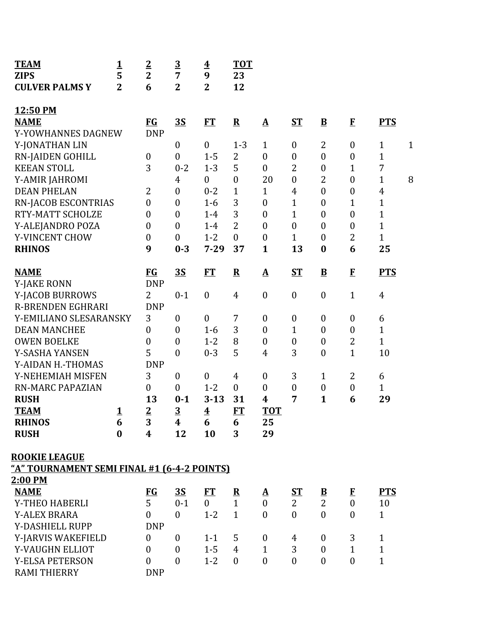| <b>TEAM</b><br><b>ZIPS</b>                         | $\mathbf{1}$<br>5 | $\overline{2}$<br>$\overline{2}$ | $\overline{3}$<br>$\overline{7}$ | $\overline{\mathbf{4}}$<br>9 | <b>TOT</b><br>23        |                          |                  |                          |                  |                |              |
|----------------------------------------------------|-------------------|----------------------------------|----------------------------------|------------------------------|-------------------------|--------------------------|------------------|--------------------------|------------------|----------------|--------------|
| <b>CULVER PALMS Y</b>                              | $\overline{2}$    | 6                                | $\overline{2}$                   | $\overline{2}$               | 12                      |                          |                  |                          |                  |                |              |
| 12:50 PM                                           |                   |                                  |                                  |                              |                         |                          |                  |                          |                  |                |              |
| <b>NAME</b>                                        |                   | $FG$                             | 3S                               | FT                           | $\overline{\mathbf{R}}$ | ${\bf A}$                | $ST$             | $\underline{\mathbf{B}}$ | $\mathbf{F}$     | <b>PTS</b>     |              |
| Y-YOWHANNES DAGNEW                                 |                   | <b>DNP</b>                       |                                  |                              |                         |                          |                  |                          |                  |                |              |
| Y-JONATHAN LIN                                     |                   |                                  | $\boldsymbol{0}$                 | $\boldsymbol{0}$             | $1 - 3$                 | $\mathbf{1}$             | $\boldsymbol{0}$ | $\overline{2}$           | $\boldsymbol{0}$ | $\mathbf{1}$   | $\mathbf{1}$ |
| <b>RN-JAIDEN GOHILL</b>                            |                   | $\boldsymbol{0}$                 | $\mathbf{0}$                     | $1 - 5$                      | $\overline{2}$          | $\overline{0}$           | $\boldsymbol{0}$ | $\boldsymbol{0}$         | $\boldsymbol{0}$ | $\overline{1}$ |              |
| <b>KEEAN STOLL</b>                                 |                   | 3                                | $0 - 2$                          | $1 - 3$                      | 5                       | $\overline{0}$           | $\overline{2}$   | $\boldsymbol{0}$         | $\mathbf{1}$     | $\overline{7}$ |              |
| Y-AMIR JAHROMI                                     |                   |                                  | $\overline{4}$                   | $\mathbf{0}$                 | $\boldsymbol{0}$        | 20                       | $\boldsymbol{0}$ | $\overline{2}$           | $\overline{0}$   | $\mathbf{1}$   | 8            |
| <b>DEAN PHELAN</b>                                 |                   | $\overline{2}$                   | $\mathbf{0}$                     | $0 - 2$                      | $\mathbf{1}$            | $\mathbf{1}$             | $\overline{4}$   | $\boldsymbol{0}$         | $\boldsymbol{0}$ | $\overline{4}$ |              |
| RN-JACOB ESCONTRIAS                                |                   | $\boldsymbol{0}$                 | $\boldsymbol{0}$                 | $1-6$                        | 3                       | $\overline{0}$           | $\mathbf{1}$     | $\boldsymbol{0}$         | $\mathbf{1}$     | $\mathbf{1}$   |              |
| RTY-MATT SCHOLZE                                   |                   | $\boldsymbol{0}$                 | $\mathbf{0}$                     | $1-4$                        | 3                       | $\overline{0}$           | $\mathbf 1$      | $\boldsymbol{0}$         | $\overline{0}$   | $\mathbf{1}$   |              |
| Y-ALEJANDRO POZA                                   |                   | $\boldsymbol{0}$                 | $\mathbf{0}$                     | $1-4$                        | $\overline{2}$          | $\overline{0}$           | $\boldsymbol{0}$ | $\boldsymbol{0}$         | $\boldsymbol{0}$ | $\mathbf{1}$   |              |
| Y-VINCENT CHOW                                     |                   | $\boldsymbol{0}$                 | $\boldsymbol{0}$                 | $1 - 2$                      | $\overline{0}$          | $\overline{0}$           | $\mathbf{1}$     | $\boldsymbol{0}$         | $\overline{2}$   | $\mathbf{1}$   |              |
| <b>RHINOS</b>                                      |                   | 9                                | $0 - 3$                          | $7 - 29$                     | 37                      | $\mathbf{1}$             | 13               | $\bf{0}$                 | 6                | 25             |              |
| <b>NAME</b>                                        |                   | <b>FG</b>                        | 35                               | <b>FT</b>                    | $\mathbf R$             | $\mathbf{\Delta}$        | $ST$             | $\overline{\mathbf{B}}$  | $\mathbf{F}$     | <b>PTS</b>     |              |
| <b>Y-JAKE RONN</b>                                 |                   | <b>DNP</b>                       |                                  |                              |                         |                          |                  |                          |                  |                |              |
| Y-JACOB BURROWS                                    |                   | $\overline{2}$                   | $0 - 1$                          | $\boldsymbol{0}$             | $\overline{4}$          | $\boldsymbol{0}$         | $\boldsymbol{0}$ | $\boldsymbol{0}$         | $\mathbf{1}$     | $\overline{4}$ |              |
| <b>R-BRENDEN EGHRARI</b>                           |                   | <b>DNP</b>                       |                                  |                              |                         |                          |                  |                          |                  |                |              |
| Y-EMILIANO SLESARANSKY                             |                   | 3                                | $\boldsymbol{0}$                 | $\boldsymbol{0}$             | 7                       | $\boldsymbol{0}$         | $\boldsymbol{0}$ | $\boldsymbol{0}$         | $\boldsymbol{0}$ | 6              |              |
| <b>DEAN MANCHEE</b>                                |                   | $\boldsymbol{0}$                 | $\mathbf{0}$                     | $1-6$                        | 3                       | $\overline{0}$           | $\mathbf{1}$     | $\boldsymbol{0}$         | $\boldsymbol{0}$ | $\mathbf{1}$   |              |
| <b>OWEN BOELKE</b>                                 |                   | $\boldsymbol{0}$                 | $\mathbf{0}$                     | $1 - 2$                      | 8                       | $\theta$                 | $\boldsymbol{0}$ | $\boldsymbol{0}$         | $\overline{2}$   | $\mathbf{1}$   |              |
| Y-SASHA YANSEN                                     |                   | 5                                | $\overline{0}$                   | $0 - 3$                      | 5                       | $\overline{4}$           | 3                | $\boldsymbol{0}$         | $\mathbf{1}$     | 10             |              |
| Y-AIDAN H.-THOMAS                                  |                   | <b>DNP</b>                       |                                  |                              |                         |                          |                  |                          |                  |                |              |
| Y-NEHEMIAH MISFEN                                  |                   | 3                                | $\mathbf{0}$                     | $\boldsymbol{0}$             | $\overline{4}$          | $\boldsymbol{0}$         | 3                | $\mathbf{1}$             | $\overline{2}$   | 6              |              |
| <b>RN-MARC PAPAZIAN</b>                            |                   | $\boldsymbol{0}$                 | $\mathbf{0}$                     | $1 - 2$                      | $\boldsymbol{0}$        | $\overline{0}$           | $\boldsymbol{0}$ | $\boldsymbol{0}$         | $\boldsymbol{0}$ | $\mathbf{1}$   |              |
| <b>RUSH</b>                                        |                   | 13                               | $0 - 1$                          | $3 - 13$                     | 31                      | 4                        | 7                | $\mathbf{1}$             | 6                | 29             |              |
| <b>TEAM</b>                                        | $\mathbf{1}$      | $\overline{2}$                   | $\overline{\mathbf{3}}$          | $\overline{\mathbf{4}}$      | FT                      | <b>TOT</b>               |                  |                          |                  |                |              |
| <b>RHINOS</b>                                      | 6                 | 3                                | $\boldsymbol{4}$                 | 6                            | 6                       | 25                       |                  |                          |                  |                |              |
| <b>RUSH</b>                                        | $\bf{0}$          | $\boldsymbol{4}$                 | 12                               | 10                           | 3                       | 29                       |                  |                          |                  |                |              |
| <b>ROOKIE LEAGUE</b>                               |                   |                                  |                                  |                              |                         |                          |                  |                          |                  |                |              |
| <u>"A" TOURNAMENT SEMI FINAL #1 (6-4-2 POINTS)</u> |                   |                                  |                                  |                              |                         |                          |                  |                          |                  |                |              |
| 2:00 PM                                            |                   |                                  |                                  |                              |                         |                          |                  |                          |                  |                |              |
| <b>NAME</b>                                        |                   | $FG$                             | <u>3S</u>                        | ET                           | $\overline{\mathbf{R}}$ | $\mathbf{\underline{A}}$ | <u>ST</u>        | $\overline{\mathbf{B}}$  | $\bf{F}$         | <b>PTS</b>     |              |
| Y-THEO HABERLI                                     |                   | 5                                | $0 - 1$                          | $\overline{0}$               | $\mathbf{1}$            | $\overline{0}$           | $\overline{2}$   | $\overline{2}$           | $\boldsymbol{0}$ | 10             |              |
| <b>Y-ALEX BRARA</b>                                |                   | $\theta$                         | $\theta$                         | $1 - 2$                      | $\mathbf{1}$            | $\theta$                 | $\overline{0}$   | $\mathbf{0}$             | $\theta$         | $\mathbf{1}$   |              |
| Y-DASHIELL RUPP                                    |                   | <b>DNP</b>                       |                                  |                              |                         |                          |                  |                          |                  |                |              |
| Y-JARVIS WAKEFIELD                                 |                   | $\boldsymbol{0}$                 | $\overline{0}$                   | $1 - 1$                      | 5                       | $\boldsymbol{0}$         | 4                | $\boldsymbol{0}$         | 3                | $\mathbf{1}$   |              |
| Y-VAUGHN ELLIOT                                    |                   | $\mathbf{0}$                     | $\mathbf{0}$                     | $1 - 5$                      | $\overline{4}$          | $\mathbf{1}$             | 3                | $\boldsymbol{0}$         | $\mathbf{1}$     | $\mathbf{1}$   |              |
| <b>Y-ELSA PETERSON</b>                             |                   | $\mathbf{0}$                     | $\theta$                         | $1 - 2$                      | $\boldsymbol{0}$        | $\overline{0}$           | $\boldsymbol{0}$ | $\boldsymbol{0}$         | $\overline{0}$   | $\mathbf{1}$   |              |
| <b>RAMI THIERRY</b>                                |                   | <b>DNP</b>                       |                                  |                              |                         |                          |                  |                          |                  |                |              |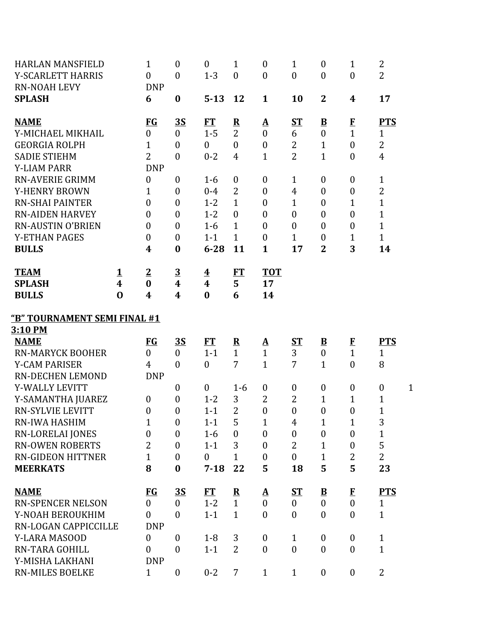| <b>HARLAN MANSFIELD</b><br>Y-SCARLETT HARRIS<br><b>RN-NOAH LEVY</b>                                                                                                                   |                                                 | 1<br>$\theta$<br><b>DNP</b>                                                                              | $\boldsymbol{0}$<br>$\boldsymbol{0}$                                                                                             | $\boldsymbol{0}$<br>$1 - 3$                                              | $\mathbf{1}$<br>$\overline{0}$                                                                            | $\boldsymbol{0}$<br>$\mathbf{0}$                                                                                         | $\mathbf{1}$<br>$\boldsymbol{0}$                                                                           | $\boldsymbol{0}$<br>$\boldsymbol{0}$                                                                                         | 1<br>$\boldsymbol{0}$                                                                                 | $\overline{2}$<br>$\overline{2}$                                                                     |              |
|---------------------------------------------------------------------------------------------------------------------------------------------------------------------------------------|-------------------------------------------------|----------------------------------------------------------------------------------------------------------|----------------------------------------------------------------------------------------------------------------------------------|--------------------------------------------------------------------------|-----------------------------------------------------------------------------------------------------------|--------------------------------------------------------------------------------------------------------------------------|------------------------------------------------------------------------------------------------------------|------------------------------------------------------------------------------------------------------------------------------|-------------------------------------------------------------------------------------------------------|------------------------------------------------------------------------------------------------------|--------------|
| <b>SPLASH</b>                                                                                                                                                                         |                                                 | 6                                                                                                        | $\boldsymbol{0}$                                                                                                                 | $5 - 13$                                                                 | 12                                                                                                        | $\mathbf{1}$                                                                                                             | 10                                                                                                         | $\overline{2}$                                                                                                               | 4                                                                                                     | 17                                                                                                   |              |
| <b>NAME</b><br>Y-MICHAEL MIKHAIL<br><b>GEORGIA ROLPH</b><br><b>SADIE STIEHM</b>                                                                                                       |                                                 | <b>FG</b><br>$\overline{0}$<br>$\mathbf{1}$<br>$\overline{2}$                                            | <u>3S</u><br>$\boldsymbol{0}$<br>$\boldsymbol{0}$<br>$\boldsymbol{0}$                                                            | <b>FT</b><br>$1 - 5$<br>$\boldsymbol{0}$<br>$0 - 2$                      | $\mathbf R$<br>$\overline{2}$<br>$\overline{0}$<br>4                                                      | $\Delta$<br>$\mathbf{0}$<br>$\boldsymbol{0}$<br>$\mathbf{1}$                                                             | $S_{\rm T}$<br>6<br>$\overline{2}$<br>$\overline{2}$                                                       | $\underline{\mathbf{B}}$<br>$\boldsymbol{0}$<br>$\mathbf{1}$<br>$\overline{1}$                                               | $\bf{F}$<br>$\mathbf{1}$<br>$\boldsymbol{0}$<br>$\boldsymbol{0}$                                      | <b>PTS</b><br>$\mathbf{1}$<br>$\overline{2}$<br>$\overline{4}$                                       |              |
| <b>Y-LIAM PARR</b><br><b>RN-AVERIE GRIMM</b><br>Y-HENRY BROWN<br><b>RN-SHAI PAINTER</b><br><b>RN-AIDEN HARVEY</b><br><b>RN-AUSTIN O'BRIEN</b><br><b>Y-ETHAN PAGES</b><br><b>BULLS</b> |                                                 | <b>DNP</b><br>$\boldsymbol{0}$<br>1<br>$\overline{0}$<br>$\mathbf{0}$<br>$\theta$<br>$\overline{0}$<br>4 | $\boldsymbol{0}$<br>$\boldsymbol{0}$<br>$\boldsymbol{0}$<br>$\boldsymbol{0}$<br>$\boldsymbol{0}$<br>$\boldsymbol{0}$<br>$\bf{0}$ | $1 - 6$<br>$0 - 4$<br>$1 - 2$<br>$1 - 2$<br>$1-6$<br>$1 - 1$<br>$6 - 28$ | $\boldsymbol{0}$<br>$\overline{2}$<br>$\mathbf{1}$<br>$\overline{0}$<br>$\mathbf 1$<br>$\mathbf{1}$<br>11 | $\mathbf{0}$<br>$\mathbf{0}$<br>$\boldsymbol{0}$<br>$\boldsymbol{0}$<br>$\mathbf{0}$<br>$\boldsymbol{0}$<br>$\mathbf{1}$ | $\mathbf{1}$<br>$\overline{4}$<br>$\mathbf{1}$<br>$\boldsymbol{0}$<br>$\overline{0}$<br>$\mathbf{1}$<br>17 | $\boldsymbol{0}$<br>$\boldsymbol{0}$<br>$\boldsymbol{0}$<br>$\mathbf{0}$<br>$\mathbf{0}$<br>$\boldsymbol{0}$<br>$\mathbf{2}$ | $\boldsymbol{0}$<br>$\boldsymbol{0}$<br>$\mathbf 1$<br>$\boldsymbol{0}$<br>$\boldsymbol{0}$<br>1<br>3 | $\mathbf{1}$<br>$\overline{2}$<br>$\mathbf{1}$<br>$\mathbf{1}$<br>$\mathbf{1}$<br>$\mathbf{1}$<br>14 |              |
| <b>TEAM</b><br><b>SPLASH</b><br><b>BULLS</b>                                                                                                                                          | <u>1</u><br>$\overline{\mathbf{4}}$<br>$\bf{0}$ | $\overline{2}$<br>$\bf{0}$<br>4                                                                          | $\frac{3}{4}$<br>$\overline{\mathbf{4}}$                                                                                         | $\overline{\textbf{4}}$<br>$\boldsymbol{4}$<br>$\bf{0}$                  | FT<br>5<br>6                                                                                              | <b>TOT</b><br>17<br>14                                                                                                   |                                                                                                            |                                                                                                                              |                                                                                                       |                                                                                                      |              |
| "B" TOURNAMENT SEMI FINAL #1                                                                                                                                                          |                                                 |                                                                                                          |                                                                                                                                  |                                                                          |                                                                                                           |                                                                                                                          |                                                                                                            |                                                                                                                              |                                                                                                       |                                                                                                      |              |
| <u>3:10 PM</u>                                                                                                                                                                        |                                                 |                                                                                                          |                                                                                                                                  |                                                                          |                                                                                                           |                                                                                                                          |                                                                                                            |                                                                                                                              |                                                                                                       |                                                                                                      |              |
| <b>NAME</b><br><b>RN-MARYCK BOOHER</b>                                                                                                                                                |                                                 | <b>FG</b><br>$\overline{0}$                                                                              | <u>35</u><br>$\boldsymbol{0}$                                                                                                    | FT<br>$1 - 1$                                                            | $\mathbf R$<br>$\mathbf{1}$                                                                               | $\Delta$<br>$\mathbf{1}$                                                                                                 | ST<br>3                                                                                                    | $\overline{\mathbf{B}}$<br>$\boldsymbol{0}$                                                                                  | $\bf{F}$<br>$\mathbf{1}$                                                                              | <b>PTS</b><br>$\mathbf{1}$<br>8                                                                      |              |
|                                                                                                                                                                                       |                                                 |                                                                                                          |                                                                                                                                  |                                                                          |                                                                                                           |                                                                                                                          |                                                                                                            |                                                                                                                              |                                                                                                       |                                                                                                      |              |
| <b>Y-CAM PARISER</b><br>RN-DECHEN LEMOND                                                                                                                                              |                                                 | $\overline{4}$<br><b>DNP</b>                                                                             | $\overline{0}$                                                                                                                   | $\boldsymbol{0}$                                                         | 7                                                                                                         | $\mathbf{1}$                                                                                                             | 7                                                                                                          | $\mathbf{1}$                                                                                                                 | $\mathbf{0}$                                                                                          |                                                                                                      |              |
| Y-WALLY LEVITT<br>Y-SAMANTHA JUAREZ                                                                                                                                                   |                                                 | $\boldsymbol{0}$                                                                                         | $\boldsymbol{0}$<br>$\boldsymbol{0}$                                                                                             | $\boldsymbol{0}$<br>$1 - 2$                                              | $1 - 6$<br>3                                                                                              | $\boldsymbol{0}$<br>$\overline{2}$                                                                                       | $\boldsymbol{0}$<br>$\overline{2}$                                                                         | $\boldsymbol{0}$<br>1                                                                                                        | $\boldsymbol{0}$<br>1                                                                                 | $\boldsymbol{0}$<br>$\mathbf{1}$                                                                     | $\mathbf{1}$ |
| <b>RN-SYLVIE LEVITT</b><br>RN-IWA HASHIM                                                                                                                                              |                                                 | $\boldsymbol{0}$<br>$1\,$                                                                                | $\boldsymbol{0}$<br>$\boldsymbol{0}$                                                                                             | $1 - 1$<br>$1 - 1$                                                       | $\overline{2}$<br>5                                                                                       | $\boldsymbol{0}$<br>$\mathbf{1}$                                                                                         | $\boldsymbol{0}$<br>$\overline{4}$                                                                         | $\boldsymbol{0}$<br>$\mathbf{1}$                                                                                             | $\boldsymbol{0}$<br>$\mathbf{1}$                                                                      | 1<br>3                                                                                               |              |
| <b>RN-LORELAI JONES</b><br><b>RN-OWEN ROBERTS</b>                                                                                                                                     |                                                 | $\boldsymbol{0}$<br>$\overline{2}$                                                                       | $\boldsymbol{0}$<br>$\boldsymbol{0}$                                                                                             | $1 - 6$<br>$1 - 1$                                                       | $\boldsymbol{0}$<br>3                                                                                     | $\boldsymbol{0}$<br>$\boldsymbol{0}$                                                                                     | $\boldsymbol{0}$<br>$\overline{2}$                                                                         | $\boldsymbol{0}$<br>$\mathbf{1}$                                                                                             | $\boldsymbol{0}$<br>$\boldsymbol{0}$                                                                  | $\mathbf{1}$<br>5                                                                                    |              |
| <b>RN-GIDEON HITTNER</b><br><b>MEERKATS</b>                                                                                                                                           |                                                 | $\mathbf{1}$<br>8                                                                                        | $\overline{0}$<br>$\bf{0}$                                                                                                       | $\boldsymbol{0}$<br>$7 - 18$                                             | $\mathbf{1}$<br>22                                                                                        | $\boldsymbol{0}$<br>5                                                                                                    | $\mathbf{0}$<br>18                                                                                         | $\mathbf{1}$<br>5                                                                                                            | $\overline{2}$<br>5                                                                                   | $\overline{2}$<br>23                                                                                 |              |
| <b>NAME</b><br><b>RN-SPENCER NELSON</b><br>Y-NOAH BEROUKHIM<br>RN-LOGAN CAPPICCILLE                                                                                                   |                                                 | <b>FG</b><br>$\overline{0}$<br>$\overline{0}$<br><b>DNP</b>                                              | <u>35</u><br>$\boldsymbol{0}$<br>$\boldsymbol{0}$                                                                                | <b>FT</b><br>$1 - 2$<br>$1 - 1$                                          | ${\bf R}$<br>$\mathbf{1}$<br>$\mathbf{1}$                                                                 | $\mathbf{\underline{A}}$<br>$\mathbf{0}$<br>$\mathbf{0}$                                                                 | $S_{\rm T}$<br>$\boldsymbol{0}$<br>$\boldsymbol{0}$                                                        | $\mathbf{B}$<br>$\boldsymbol{0}$<br>$\mathbf{0}$                                                                             | $\mathbf{F}$<br>$\overline{0}$<br>$\mathbf{0}$                                                        | <b>PTS</b><br>$\mathbf{1}$<br>$\mathbf{1}$                                                           |              |
| Y-LARA MASOOD<br>RN-TARA GOHILL<br>Y-MISHA LAKHANI                                                                                                                                    |                                                 | $\theta$<br>$\mathbf{0}$<br><b>DNP</b>                                                                   | $\boldsymbol{0}$<br>$\boldsymbol{0}$                                                                                             | $1 - 8$<br>$1 - 1$                                                       | 3<br>$\overline{2}$                                                                                       | $\boldsymbol{0}$<br>$\boldsymbol{0}$                                                                                     | $\mathbf{1}$<br>$\boldsymbol{0}$                                                                           | $\boldsymbol{0}$<br>$\boldsymbol{0}$                                                                                         | $\boldsymbol{0}$<br>$\boldsymbol{0}$                                                                  | $\mathbf{1}$<br>$\mathbf{1}$                                                                         |              |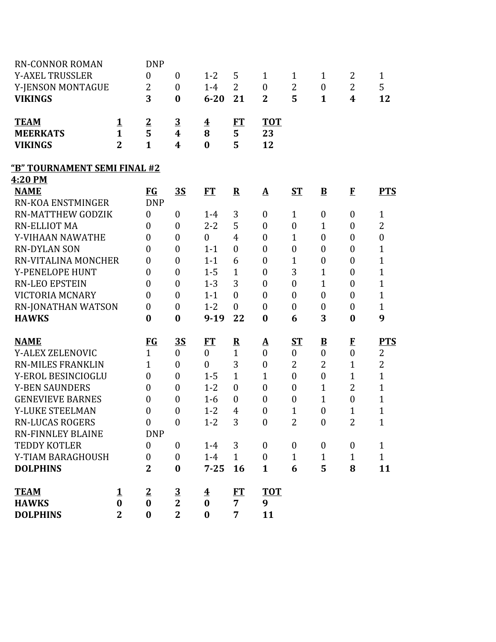| <b>RN-CONNOR ROMAN</b>       |                | <b>DNP</b>       |                  |                         |                         |                          |                  |                          |                  |                  |
|------------------------------|----------------|------------------|------------------|-------------------------|-------------------------|--------------------------|------------------|--------------------------|------------------|------------------|
| <b>Y-AXEL TRUSSLER</b>       |                | $\mathbf{0}$     | $\boldsymbol{0}$ | $1 - 2$                 | 5                       | $\mathbf{1}$             | $\mathbf{1}$     | $\mathbf{1}$             | 2                | $\mathbf{1}$     |
| Y-JENSON MONTAGUE            |                | $\overline{2}$   | $\boldsymbol{0}$ | $1-4$                   | $\overline{2}$          | $\boldsymbol{0}$         | $\overline{2}$   | $\boldsymbol{0}$         | $\overline{2}$   | 5                |
| <b>VIKINGS</b>               |                | 3                | $\bf{0}$         | $6 - 20$                | 21                      | $\overline{2}$           | 5                | $\mathbf{1}$             | $\boldsymbol{4}$ | 12               |
| <b>TEAM</b>                  | 1              | $\overline{2}$   | $\overline{3}$   | $\overline{\mathbf{4}}$ | FT                      | <b>TOT</b>               |                  |                          |                  |                  |
| <b>MEERKATS</b>              | $\mathbf{1}$   | 5                | $\boldsymbol{4}$ | 8                       | 5                       | 23                       |                  |                          |                  |                  |
| <b>VIKINGS</b>               | $\overline{2}$ | $\mathbf{1}$     | 4                | $\bf{0}$                | 5                       | 12                       |                  |                          |                  |                  |
| "B" TOURNAMENT SEMI FINAL #2 |                |                  |                  |                         |                         |                          |                  |                          |                  |                  |
| 4:20 PM                      |                |                  |                  |                         |                         |                          |                  |                          |                  |                  |
| <b>NAME</b>                  |                | <b>EG</b>        | <b>3S</b>        | <b>FT</b>               | ${\bf R}$               | $\mathbf{\underline{A}}$ | <b>ST</b>        | $\bf{B}$                 | $\bf{F}$         | <b>PTS</b>       |
| RN-KOA ENSTMINGER            |                | <b>DNP</b>       |                  |                         |                         |                          |                  |                          |                  |                  |
| <b>RN-MATTHEW GODZIK</b>     |                | $\mathbf{0}$     | $\boldsymbol{0}$ | $1 - 4$                 | 3                       | $\boldsymbol{0}$         | $\mathbf{1}$     | $\boldsymbol{0}$         | $\boldsymbol{0}$ | $\mathbf{1}$     |
| <b>RN-ELLIOT MA</b>          |                | $\theta$         | $\boldsymbol{0}$ | $2 - 2$                 | 5                       | $\theta$                 | $\boldsymbol{0}$ | $\mathbf{1}$             | $\boldsymbol{0}$ | $\overline{2}$   |
| Y-VIHAAN NAWATHE             |                | $\overline{0}$   | $\boldsymbol{0}$ | $\mathbf{0}$            | $\overline{4}$          | $\theta$                 | $\mathbf{1}$     | $\boldsymbol{0}$         | $\boldsymbol{0}$ | $\boldsymbol{0}$ |
| <b>RN-DYLAN SON</b>          |                | $\theta$         | $\boldsymbol{0}$ | $1 - 1$                 | $\overline{0}$          | $\theta$                 | $\boldsymbol{0}$ | $\boldsymbol{0}$         | $\boldsymbol{0}$ | $\mathbf{1}$     |
| RN-VITALINA MONCHER          |                | $\overline{0}$   | $\boldsymbol{0}$ | $1 - 1$                 | 6                       | $\overline{0}$           | $\mathbf{1}$     | $\boldsymbol{0}$         | $\boldsymbol{0}$ | $\mathbf{1}$     |
| Y-PENELOPE HUNT              |                | $\overline{0}$   | $\boldsymbol{0}$ | $1 - 5$                 | $\mathbf{1}$            | $\boldsymbol{0}$         | 3                | $\mathbf{1}$             | $\boldsymbol{0}$ | $\mathbf{1}$     |
| <b>RN-LEO EPSTEIN</b>        |                | $\overline{0}$   | $\boldsymbol{0}$ | $1 - 3$                 | 3                       | $\overline{0}$           | $\boldsymbol{0}$ | $\mathbf{1}$             | $\boldsymbol{0}$ | $\mathbf{1}$     |
| <b>VICTORIA MCNARY</b>       |                | $\overline{0}$   | $\boldsymbol{0}$ | $1 - 1$                 | $\boldsymbol{0}$        | $\overline{0}$           | $\boldsymbol{0}$ | $\boldsymbol{0}$         | $\boldsymbol{0}$ | $\mathbf{1}$     |
| <b>RN-JONATHAN WATSON</b>    |                | $\boldsymbol{0}$ | $\boldsymbol{0}$ | $1 - 2$                 | $\boldsymbol{0}$        | $\overline{0}$           | $\boldsymbol{0}$ | $\boldsymbol{0}$         | $\boldsymbol{0}$ | $\mathbf{1}$     |
| <b>HAWKS</b>                 |                | $\bf{0}$         | $\bf{0}$         | $9-19$                  | 22                      | $\bf{0}$                 | 6                | 3                        | $\bf{0}$         | 9                |
| <b>NAME</b>                  |                | $FG$             | <u>35</u>        | <u>FT</u>               | $\overline{\mathbf{R}}$ | $\Delta$                 | ST               | $\underline{\mathbf{B}}$ | $\mathbf{F}$     | <b>PTS</b>       |
| Y-ALEX ZELENOVIC             |                | $\mathbf{1}$     | $\boldsymbol{0}$ | $\boldsymbol{0}$        | $\mathbf{1}$            | $\overline{0}$           | $\boldsymbol{0}$ | $\boldsymbol{0}$         | $\boldsymbol{0}$ | 2                |
| <b>RN-MILES FRANKLIN</b>     |                | $\mathbf{1}$     | $\boldsymbol{0}$ | $\overline{0}$          | 3                       | $\boldsymbol{0}$         | $\overline{2}$   | $\overline{2}$           | $\mathbf{1}$     | $\overline{2}$   |
| Y-EROL BESINCIOGLU           |                | $\mathbf{0}$     | $\boldsymbol{0}$ | $1 - 5$                 | $\mathbf{1}$            | $\mathbf{1}$             | $\boldsymbol{0}$ | $\boldsymbol{0}$         | $\mathbf{1}$     | $\mathbf{1}$     |
| <b>Y-BEN SAUNDERS</b>        |                | $\overline{0}$   | $\boldsymbol{0}$ | $1 - 2$                 | $\overline{0}$          | $\overline{0}$           | $\overline{0}$   | $\mathbf{1}$             | $\overline{2}$   | $\mathbf{1}$     |
| <b>GENEVIEVE BARNES</b>      |                | $\boldsymbol{0}$ | $\boldsymbol{0}$ | $1-6$                   | $\boldsymbol{0}$        | $\theta$                 | $\boldsymbol{0}$ | $\mathbf{1}$             | $\boldsymbol{0}$ | $\mathbf{1}$     |
| Y-LUKE STEELMAN              |                | $\overline{0}$   | $\boldsymbol{0}$ | $1 - 2$                 | $\overline{4}$          | $\overline{0}$           | $\mathbf{1}$     | $\boldsymbol{0}$         | $\overline{1}$   | $\mathbf{1}$     |
| <b>RN-LUCAS ROGERS</b>       |                | $\boldsymbol{0}$ | $\boldsymbol{0}$ | $1 - 2$                 | 3                       | $\boldsymbol{0}$         | $\overline{c}$   | $\boldsymbol{0}$         | 2                | $\mathbf{1}$     |
| <b>RN-FINNLEY BLAINE</b>     |                | <b>DNP</b>       |                  |                         |                         |                          |                  |                          |                  |                  |
| <b>TEDDY KOTLER</b>          |                | $\mathbf{0}$     | $\mathbf{0}$     | $1 - 4$                 | 3                       | $\mathbf{0}$             | $\mathbf{0}$     | $\boldsymbol{0}$         | $\boldsymbol{0}$ | $\mathbf{1}$     |
| Y-TIAM BARAGHOUSH            |                | $\boldsymbol{0}$ | $\boldsymbol{0}$ | $1-4$                   | $\mathbf{1}$            | $\mathbf{0}$             | $\mathbf{1}$     | $\mathbf{1}$             | $\mathbf{1}$     | $\mathbf{1}$     |
| <b>DOLPHINS</b>              |                | $\overline{2}$   | $\bf{0}$         | $7 - 25$                | 16                      | $\mathbf{1}$             | 6                | 5                        | 8                | 11               |
| <b>TEAM</b>                  | 1              | $\overline{2}$   | $\overline{3}$   | <u>4</u>                | <b>FT</b>               | <b>TOT</b>               |                  |                          |                  |                  |
| <b>HAWKS</b>                 | $\bf{0}$       | $\bf{0}$         | $\overline{2}$   | $\bf{0}$                | $\overline{7}$          | 9                        |                  |                          |                  |                  |
| <b>DOLPHINS</b>              | $\overline{2}$ | $\bf{0}$         | $\overline{2}$   | $\bf{0}$                | 7                       | 11                       |                  |                          |                  |                  |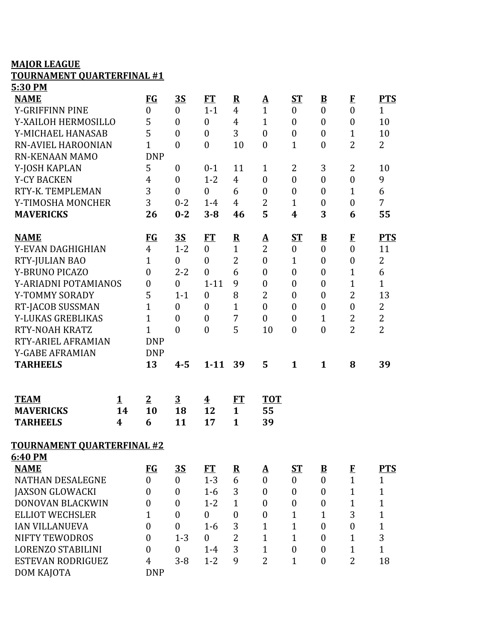## **MAJOR LEAGUE**

## **TOURNAMENT QUARTERFINAL #1**

| 5:30 PM                           |          |                  |                  |                         |                  |                          |                  |                          |                  |                |
|-----------------------------------|----------|------------------|------------------|-------------------------|------------------|--------------------------|------------------|--------------------------|------------------|----------------|
| <b>NAME</b>                       |          | <b>FG</b>        | <u>35</u>        | <b>FT</b>               | ${\bf R}$        | $\Delta$                 | $S_{\rm T}$      | $\underline{\mathbf{B}}$ | $\mathbf{F}$     | <b>PTS</b>     |
| Y-GRIFFINN PINE                   |          | $\boldsymbol{0}$ | $\mathbf{0}$     | $1 - 1$                 | $\overline{4}$   | $\mathbf{1}$             | $\overline{0}$   | $\overline{0}$           | $\boldsymbol{0}$ | $\mathbf{1}$   |
| Y-XAILOH HERMOSILLO               |          | 5                | $\boldsymbol{0}$ | $\overline{0}$          | $\overline{4}$   | $\mathbf{1}$             | $\mathbf{0}$     | $\boldsymbol{0}$         | $\boldsymbol{0}$ | 10             |
| Y-MICHAEL HANASAB                 |          | 5                | $\boldsymbol{0}$ | $\boldsymbol{0}$        | 3                | $\boldsymbol{0}$         | $\boldsymbol{0}$ | $\boldsymbol{0}$         | $\mathbf{1}$     | 10             |
| RN-AVIEL HAROONIAN                |          | $\mathbf{1}$     | $\boldsymbol{0}$ | $\overline{0}$          | 10               | $\overline{0}$           | $\mathbf{1}$     | $\boldsymbol{0}$         | $\overline{2}$   | $\overline{2}$ |
| <b>RN-KENAAN MAMO</b>             |          | <b>DNP</b>       |                  |                         |                  |                          |                  |                          |                  |                |
| Y-JOSH KAPLAN                     |          | 5                | $\boldsymbol{0}$ | $0 - 1$                 | 11               | $\mathbf{1}$             | 2                | 3                        | $\overline{2}$   | 10             |
| <b>Y-CY BACKEN</b>                |          | $\overline{4}$   | $\boldsymbol{0}$ | $1 - 2$                 | $\overline{4}$   | $\overline{0}$           | $\boldsymbol{0}$ | $\boldsymbol{0}$         | $\boldsymbol{0}$ | 9              |
| RTY-K. TEMPLEMAN                  |          | 3                | $\boldsymbol{0}$ | $\boldsymbol{0}$        | 6                | $\boldsymbol{0}$         | $\boldsymbol{0}$ | $\boldsymbol{0}$         | $\mathbf{1}$     | 6              |
| Y-TIMOSHA MONCHER                 |          | 3                | $0 - 2$          | $1 - 4$                 | $\overline{4}$   | $\overline{2}$           | $\mathbf{1}$     | $\boldsymbol{0}$         | $\boldsymbol{0}$ | $\overline{7}$ |
| <b>MAVERICKS</b>                  |          | 26               | $0 - 2$          | $3 - 8$                 | 46               | 5                        | 4                | 3                        | 6                | 55             |
| <b>NAME</b>                       |          | <b>FG</b>        | 3S               | <b>FT</b>               | $\mathbf R$      | $\mathbf{\underline{A}}$ | $S_{1}$          | $\overline{\mathbf{B}}$  | $\mathbf{F}$     | <b>PTS</b>     |
| Y-EVAN DAGHIGHIAN                 |          | $\overline{4}$   | $1 - 2$          | $\overline{0}$          | $\mathbf{1}$     | $\overline{2}$           | $\boldsymbol{0}$ | $\boldsymbol{0}$         | $\boldsymbol{0}$ | 11             |
| RTY-JULIAN BAO                    |          | $\mathbf{1}$     | $\mathbf{0}$     | $\overline{0}$          | $\overline{2}$   | $\overline{0}$           | $\mathbf{1}$     | $\boldsymbol{0}$         | $\boldsymbol{0}$ | $\overline{2}$ |
| Y-BRUNO PICAZO                    |          | $\overline{0}$   | $2 - 2$          | $\overline{0}$          | 6                | $\overline{0}$           | $\overline{0}$   | $\boldsymbol{0}$         | $\mathbf{1}$     | 6              |
| Y-ARIADNI POTAMIANOS              |          | $\boldsymbol{0}$ | $\boldsymbol{0}$ | $1 - 11$                | 9                | $\boldsymbol{0}$         | $\boldsymbol{0}$ | $\boldsymbol{0}$         | $\mathbf{1}$     | $\mathbf{1}$   |
| Y-TOMMY SORADY                    |          | 5                | $1 - 1$          | $\overline{0}$          | 8                | $\overline{2}$           | $\boldsymbol{0}$ | $\boldsymbol{0}$         | $\overline{2}$   | 13             |
| RT-JACOB SUSSMAN                  |          | $\overline{1}$   | $\boldsymbol{0}$ | $\overline{0}$          | $\mathbf{1}$     | $\overline{0}$           | $\overline{0}$   | $\boldsymbol{0}$         | $\boldsymbol{0}$ | $\overline{2}$ |
| Y-LUKAS GREBLIKAS                 |          | $\mathbf{1}$     | $\boldsymbol{0}$ | $\boldsymbol{0}$        | $\overline{7}$   | $\overline{0}$           | $\boldsymbol{0}$ | $\mathbf{1}$             | $\overline{2}$   | $\overline{2}$ |
| <b>RTY-NOAH KRATZ</b>             |          | $\mathbf{1}$     | $\overline{0}$   | $\overline{0}$          | 5                | 10                       | $\boldsymbol{0}$ | $\boldsymbol{0}$         | $\overline{2}$   | $\overline{2}$ |
| RTY-ARIEL AFRAMIAN                |          | <b>DNP</b>       |                  |                         |                  |                          |                  |                          |                  |                |
| Y-GABE AFRAMIAN                   |          | <b>DNP</b>       |                  |                         |                  |                          |                  |                          |                  |                |
| <b>TARHEELS</b>                   |          | 13               | $4 - 5$          | $1 - 11$                | 39               | 5                        | $\mathbf{1}$     | $\mathbf{1}$             | 8                | 39             |
|                                   |          |                  |                  |                         |                  |                          |                  |                          |                  |                |
| <b>TEAM</b>                       | <u>1</u> | $\overline{2}$   | $\overline{3}$   | $\overline{\mathbf{4}}$ | ET               | <b>TOT</b>               |                  |                          |                  |                |
| <b>MAVERICKS</b>                  | 14       | 10               | 18               | 12                      | $\mathbf{1}$     | 55                       |                  |                          |                  |                |
| <b>TARHEELS</b>                   | 4        | 6                | 11               | 17                      | $\mathbf{1}$     | 39                       |                  |                          |                  |                |
| <b>TOURNAMENT QUARTERFINAL #2</b> |          |                  |                  |                         |                  |                          |                  |                          |                  |                |
| 6:40 PM                           |          |                  |                  |                         |                  |                          |                  |                          |                  |                |
| <b>NAME</b>                       |          | $FG$             | <u>35</u>        | <b>FT</b>               | $\mathbf{R}$     | $\underline{\mathbf{A}}$ | $S_{\rm T}$      | $\underline{\mathbf{B}}$ | $\mathbf{F}$     | <b>PTS</b>     |
| <b>NATHAN DESALEGNE</b>           |          | $\theta$         | $\mathbf{0}$     | $1 - 3$                 | 6                | $\overline{0}$           | $\overline{0}$   | $\overline{0}$           | $\mathbf{1}$     | 1              |
| <b>JAXSON GLOWACKI</b>            |          | $\theta$         | $\boldsymbol{0}$ | $1 - 6$                 | 3                | $\overline{0}$           | $\mathbf{0}$     | $\boldsymbol{0}$         | $\mathbf{1}$     | $\mathbf{1}$   |
| <b>DONOVAN BLACKWIN</b>           |          | $\overline{0}$   | $\boldsymbol{0}$ | $1 - 2$                 | $\mathbf{1}$     | $\boldsymbol{0}$         | $\boldsymbol{0}$ | $\boldsymbol{0}$         | $\mathbf{1}$     | $\mathbf{1}$   |
| <b>ELLIOT WECHSLER</b>            |          | $\mathbf{1}$     | $\boldsymbol{0}$ | $\boldsymbol{0}$        | $\boldsymbol{0}$ | $\boldsymbol{0}$         | $\mathbf{1}$     | 1                        | 3                | $\overline{1}$ |
| <b>IAN VILLANUEVA</b>             |          | $\boldsymbol{0}$ | $\mathbf{0}$     | $1-6$                   | 3                | $\mathbf{1}$             | $\mathbf{1}$     | $\boldsymbol{0}$         | $\boldsymbol{0}$ | $\mathbf{1}$   |
| <b>NIFTY TEWODROS</b>             |          | $\mathbf{0}$     | $1 - 3$          | $\overline{0}$          | $\overline{2}$   | $\mathbf{1}$             | $\mathbf{1}$     | $\mathbf{0}$             | $\mathbf{1}$     | 3              |
| <b>LORENZO STABILINI</b>          |          | $\theta$         | $\mathbf{0}$     | $1 - 4$                 | 3                | $\mathbf{1}$             | $\mathbf{0}$     | $\boldsymbol{0}$         | $\mathbf{1}$     | $\mathbf{1}$   |
| <b>ESTEVAN RODRIGUEZ</b>          |          | $\overline{4}$   | $3 - 8$          | $1 - 2$                 | 9                | $\overline{2}$           | $\mathbf{1}$     | $\boldsymbol{0}$         | $\overline{2}$   | 18             |
| DOM KAJOTA                        |          | <b>DNP</b>       |                  |                         |                  |                          |                  |                          |                  |                |